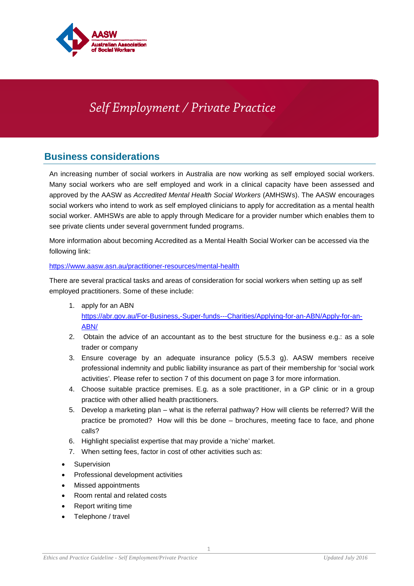

# *Self Employment / Private Practice*

# **Business considerations**

An increasing number of social workers in Australia are now working as self employed social workers. Many social workers who are self employed and work in a clinical capacity have been assessed and approved by the AASW as *Accredited Mental Health Social Workers* (AMHSWs). The AASW encourages social workers who intend to work as self employed clinicians to apply for accreditation as a mental health social worker. AMHSWs are able to apply through Medicare for a provider number which enables them to see private clients under several government funded programs.

More information about becoming Accredited as a Mental Health Social Worker can be accessed via the following link:

#### <https://www.aasw.asn.au/practitioner-resources/mental-health>

There are several practical tasks and areas of consideration for social workers when setting up as self employed practitioners. Some of these include:

- 1. apply for an ABN [https://abr.gov.au/For-Business,-Super-funds---Charities/Applying-for-an-ABN/Apply-for-an-](https://abr.gov.au/For-Business,-Super-funds---Charities/Applying-for-an-ABN/Apply-for-an-ABN/)[ABN/](https://abr.gov.au/For-Business,-Super-funds---Charities/Applying-for-an-ABN/Apply-for-an-ABN/)
- 2. Obtain the advice of an accountant as to the best structure for the business e.g.: as a sole trader or company
- 3. Ensure coverage by an adequate insurance policy (5.5.3 g). AASW members receive professional indemnity and public liability insurance as part of their membership for 'social work activities'. Please refer to section 7 of this document on page 3 for more information.
- 4. Choose suitable practice premises. E.g. as a sole practitioner, in a GP clinic or in a group practice with other allied health practitioners.
- 5. Develop a marketing plan what is the referral pathway? How will clients be referred? Will the practice be promoted? How will this be done – brochures, meeting face to face, and phone calls?
- 6. Highlight specialist expertise that may provide a 'niche' market.
- 7. When setting fees, factor in cost of other activities such as:
- **Supervision**
- Professional development activities
- Missed appointments
- Room rental and related costs
- Report writing time
- Telephone / travel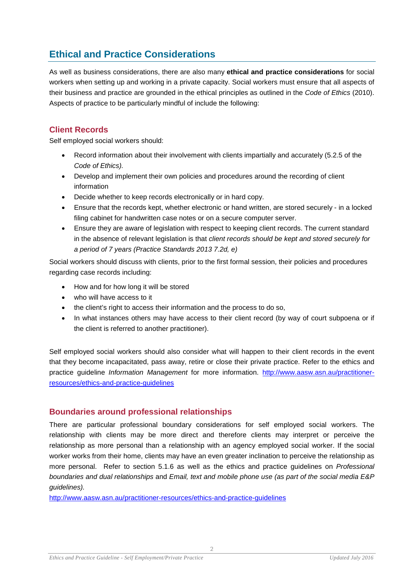# **Ethical and Practice Considerations**

As well as business considerations, there are also many **ethical and practice considerations** for social workers when setting up and working in a private capacity. Social workers must ensure that all aspects of their business and practice are grounded in the ethical principles as outlined in the *Code of Ethics* (2010). Aspects of practice to be particularly mindful of include the following:

## **Client Records**

Self employed social workers should:

- Record information about their involvement with clients impartially and accurately (5.2.5 of the *Code of Ethics).*
- Develop and implement their own policies and procedures around the recording of client information
- Decide whether to keep records electronically or in hard copy.
- Ensure that the records kept, whether electronic or hand written, are stored securely in a locked filing cabinet for handwritten case notes or on a secure computer server.
- Ensure they are aware of legislation with respect to keeping client records. The current standard in the absence of relevant legislation is that *client records should be kept and stored securely for a period of 7 years (Practice Standards 2013 7.2d, e)*

Social workers should discuss with clients, prior to the first formal session, their policies and procedures regarding case records including:

- How and for how long it will be stored
- who will have access to it
- the client's right to access their information and the process to do so,
- In what instances others may have access to their client record (by way of court subpoena or if the client is referred to another practitioner).

Self employed social workers should also consider what will happen to their client records in the event that they become incapacitated, pass away, retire or close their private practice. Refer to the ethics and practice guideline *Information Management* for more information. [http://www.aasw.asn.au/practitioner](http://www.aasw.asn.au/practitioner-resources/ethics-and-practice-guidelines)[resources/ethics-and-practice-guidelines](http://www.aasw.asn.au/practitioner-resources/ethics-and-practice-guidelines)

#### **Boundaries around professional relationships**

There are particular professional boundary considerations for self employed social workers. The relationship with clients may be more direct and therefore clients may interpret or perceive the relationship as more personal than a relationship with an agency employed social worker. If the social worker works from their home, clients may have an even greater inclination to perceive the relationship as more personal. Refer to section 5.1.6 as well as the ethics and practice guidelines on *Professional boundaries and dual relationships* and *Email, text and mobile phone use (as part of the social media E&P guidelines).*

<http://www.aasw.asn.au/practitioner-resources/ethics-and-practice-guidelines>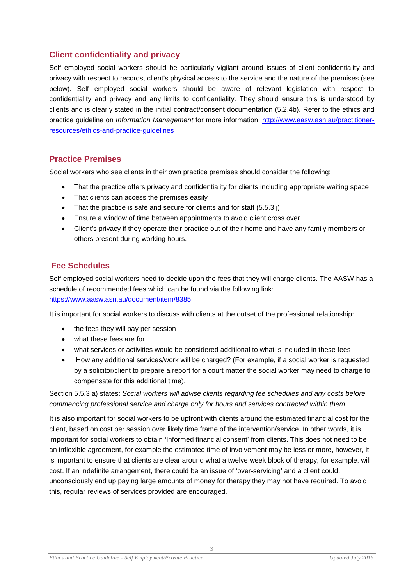## **Client confidentiality and privacy**

Self employed social workers should be particularly vigilant around issues of client confidentiality and privacy with respect to records, client's physical access to the service and the nature of the premises (see below). Self employed social workers should be aware of relevant legislation with respect to confidentiality and privacy and any limits to confidentiality. They should ensure this is understood by clients and is clearly stated in the initial contract/consent documentation (5.2.4b). Refer to the ethics and practice guideline on *Information Management* for more information. [http://www.aasw.asn.au/practitioner](http://www.aasw.asn.au/practitioner-resources/ethics-and-practice-guidelines)[resources/ethics-and-practice-guidelines](http://www.aasw.asn.au/practitioner-resources/ethics-and-practice-guidelines)

#### **Practice Premises**

Social workers who see clients in their own practice premises should consider the following:

- That the practice offers privacy and confidentiality for clients including appropriate waiting space
- That clients can access the premises easily
- That the practice is safe and secure for clients and for staff (5.5.3 j)
- Ensure a window of time between appointments to avoid client cross over.
- Client's privacy if they operate their practice out of their home and have any family members or others present during working hours.

#### **Fee Schedules**

Self employed social workers need to decide upon the fees that they will charge clients. The AASW has a schedule of recommended fees which can be found via the following link: <https://www.aasw.asn.au/document/item/8385>

It is important for social workers to discuss with clients at the outset of the professional relationship:

- the fees they will pay per session
- what these fees are for
- what services or activities would be considered additional to what is included in these fees
- How any additional services/work will be charged? (For example, if a social worker is requested by a solicitor/client to prepare a report for a court matter the social worker may need to charge to compensate for this additional time).

Section 5.5.3 a) states: *Social workers will advise clients regarding fee schedules and any costs before commencing professional service and charge only for hours and services contracted within them.* 

It is also important for social workers to be upfront with clients around the estimated financial cost for the client, based on cost per session over likely time frame of the intervention/service. In other words, it is important for social workers to obtain 'Informed financial consent' from clients. This does not need to be an inflexible agreement, for example the estimated time of involvement may be less or more, however, it is important to ensure that clients are clear around what a twelve week block of therapy, for example, will cost. If an indefinite arrangement, there could be an issue of 'over-servicing' and a client could, unconsciously end up paying large amounts of money for therapy they may not have required. To avoid this, regular reviews of services provided are encouraged.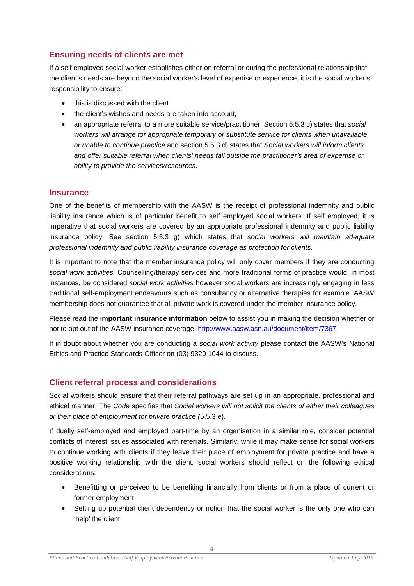# **Ensuring needs of clients are met**

If a self employed social worker establishes either on referral or during the professional relationship that the client's needs are beyond the social worker's level of expertise or experience, it is the social worker's responsibility to ensure:

- this is discussed with the client
- the client's wishes and needs are taken into account,
- an appropriate referral to a more suitable service/practitioner. Section 5.5.3 c) states that *social workers will arrange for appropriate temporary or substitute service for clients when unavailable or unable to continue practice* and section 5.5.3 d) states that *Social workers will inform clients and offer suitable referral when clients' needs fall outside the practitioner's area of expertise or ability to provide the services/resources.*

#### **Insurance**

One of the benefits of membership with the AASW is the receipt of professional indemnity and public liability insurance which is of particular benefit to self employed social workers. If self employed, it is imperative that social workers are covered by an appropriate professional indemnity and public liability insurance policy. See section 5.5.3 g) which states that *social workers will maintain adequate professional indemnity and public liability insurance coverage as protection for clients.* 

It is important to note that the member insurance policy will only cover members if they are conducting *social work activities.* Counselling/therapy services and more traditional forms of practice would, in most instances, be considered *social work activities* however social workers are increasingly engaging in less traditional self-employment endeavours such as consultancy or alternative therapies for example. AASW membership does not guarantee that all private work is covered under the member insurance policy.

Please read the **important insurance information** below to assist you in making the decision whether or not to opt out of the AASW insurance coverage:<http://www.aasw.asn.au/document/item/7367>

If in doubt about whether you are conducting a *social work activity* please contact the AASW's National Ethics and Practice Standards Officer on (03) 9320 1044 to discuss.

# **Client referral process and considerations**

Social workers should ensure that their referral pathways are set up in an appropriate, professional and ethical manner. The *Code* specifies that *Social workers will not solicit the clients of either their colleagues or their place of employment for private practice (*5.5.3 e).

If dually self-employed and employed part-time by an organisation in a similar role, consider potential conflicts of interest issues associated with referrals. Similarly, while it may make sense for social workers to continue working with clients if they leave their place of employment for private practice and have a positive working relationship with the client, social workers should reflect on the following ethical considerations:

- Benefitting or perceived to be benefiting financially from clients or from a place of current or former employment
- Setting up potential client dependency or notion that the social worker is the only one who can 'help' the client

4